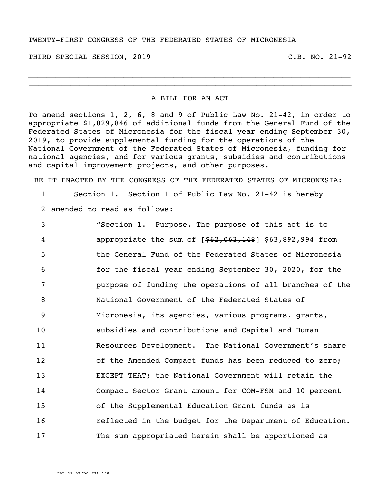## TWENTY-FIRST CONGRESS OF THE FEDERATED STATES OF MICRONESIA

THIRD SPECIAL SESSION, 2019 C.B. NO. 21-92

## A BILL FOR AN ACT

 $\_$ \_\_\_\_\_\_\_\_\_\_\_\_\_\_\_\_\_\_\_\_\_\_\_\_\_\_\_\_\_\_\_\_\_\_\_\_\_\_\_\_\_\_\_\_\_\_\_\_\_\_\_\_\_\_\_\_\_\_\_\_\_\_\_\_\_\_\_\_\_\_\_

To amend sections 1, 2, 6, 8 and 9 of Public Law No. 21-42, in order to appropriate \$1,829,846 of additional funds from the General Fund of the Federated States of Micronesia for the fiscal year ending September 30, 2019, to provide supplemental funding for the operations of the National Government of the Federated States of Micronesia, funding for national agencies, and for various grants, subsidies and contributions and capital improvement projects, and other purposes.

BE IT ENACTED BY THE CONGRESS OF THE FEDERATED STATES OF MICRONESIA:

1 Section 1. Section 1 of Public Law No. 21-42 is hereby

2 amended to read as follows:

 "Section 1. Purpose. The purpose of this act is to **appropriate the sum of [\$62,063,148]** \$63,892,994 from the General Fund of the Federated States of Micronesia for the fiscal year ending September 30, 2020, for the purpose of funding the operations of all branches of the National Government of the Federated States of Micronesia, its agencies, various programs, grants, subsidies and contributions and Capital and Human Resources Development. The National Government's share of the Amended Compact funds has been reduced to zero; EXCEPT THAT; the National Government will retain the Compact Sector Grant amount for COM-FSM and 10 percent of the Supplemental Education Grant funds as is reflected in the budget for the Department of Education. The sum appropriated herein shall be apportioned as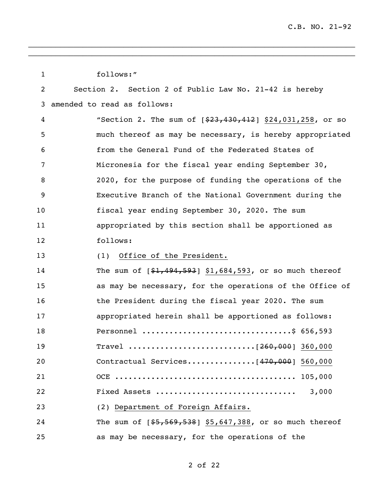| 1  | follows:"                                                    |
|----|--------------------------------------------------------------|
| 2  | Section 2. Section 2 of Public Law No. 21-42 is hereby       |
| 3  | amended to read as follows:                                  |
| 4  | "Section 2. The sum of $[$ \$23,430,412] \$24,031,258, or so |
| 5  | much thereof as may be necessary, is hereby appropriated     |
| 6  | from the General Fund of the Federated States of             |
| 7  | Micronesia for the fiscal year ending September 30,          |
| 8  | 2020, for the purpose of funding the operations of the       |
| 9  | Executive Branch of the National Government during the       |
| 10 | fiscal year ending September 30, 2020. The sum               |
| 11 | appropriated by this section shall be apportioned as         |
| 12 | follows:                                                     |
| 13 | Office of the President.<br>(1)                              |
| 14 | The sum of $[$1,494,593]$ \$1,684,593, or so much thereof    |
| 15 | as may be necessary, for the operations of the Office of     |
| 16 | the President during the fiscal year 2020. The sum           |
| 17 | appropriated herein shall be apportioned as follows:         |
| 18 | Personnel \$ 656,593                                         |
| 19 |                                                              |
| 20 | Contractual Services [470,000] 560,000                       |
| 21 |                                                              |
| 22 | 3,000<br>Fixed Assets                                        |
| 23 | (2) Department of Foreign Affairs.                           |
| 24 | The sum of $[$5,569,538]$ \$5,647,388, or so much thereof    |
| 25 | as may be necessary, for the operations of the               |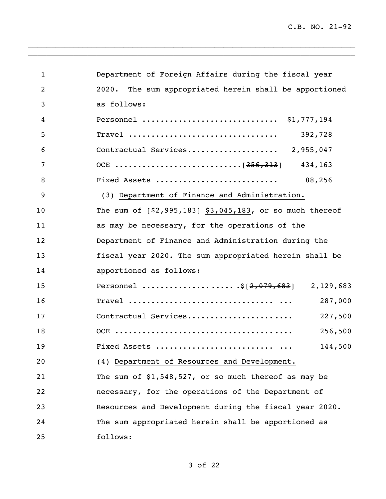C.B. NO. 21-92

| $\mathbf 1$    | Department of Foreign Affairs during the fiscal year      |
|----------------|-----------------------------------------------------------|
| $\overline{2}$ | The sum appropriated herein shall be apportioned<br>2020. |
| 3              | as follows:                                               |
| 4              | Personnel  \$1,777,194                                    |
| 5              | Travel<br>392,728                                         |
| 6              |                                                           |
| 7              | 434,163                                                   |
| 8              | Fixed Assets<br>88,256                                    |
| 9              | (3) Department of Finance and Administration.             |
| 10             | The sum of $[$2,995,183]$ \$3,045,183, or so much thereof |
| 11             | as may be necessary, for the operations of the            |
| 12             | Department of Finance and Administration during the       |
| 13             | fiscal year 2020. The sum appropriated herein shall be    |
| 14             | apportioned as follows:                                   |
| 15             | Personnel \$[2,079,683] 2,129,683                         |
| 16             | 287,000                                                   |
| 17             | Contractual Services<br>227,500                           |
| 18             | 256,500                                                   |
| 19             | 144,500<br>Fixed Assets                                   |
| 20             | (4) Department of Resources and Development.              |
| 21             | The sum of $$1,548,527$ , or so much thereof as may be    |
| 22             | necessary, for the operations of the Department of        |
| 23             | Resources and Development during the fiscal year 2020.    |
| 24             | The sum appropriated herein shall be apportioned as       |
| 25             | follows:                                                  |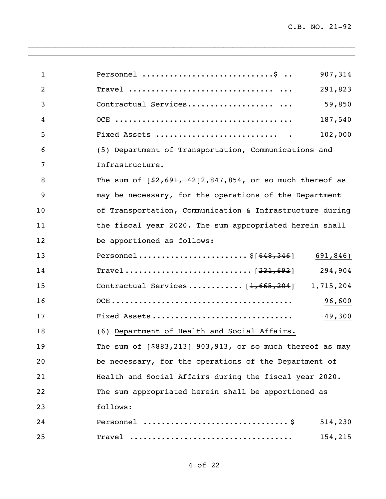| $\mathbf{1}$ | Personnel \$<br>907,314                                       |
|--------------|---------------------------------------------------------------|
| 2            | 291,823                                                       |
| 3            | Contractual Services<br>59,850                                |
| 4            | 187,540                                                       |
| 5            | 102,000                                                       |
| 6            | (5) Department of Transportation, Communications and          |
| 7            | Infrastructure.                                               |
| 8            | The sum of $[$2,691,142]2,847,854$ , or so much thereof as    |
| 9            | may be necessary, for the operations of the Department        |
| 10           | of Transportation, Communication & Infrastructure during      |
| 11           | the fiscal year 2020. The sum appropriated herein shall       |
| 12           | be apportioned as follows:                                    |
| 13           | Personnel\$[ $648,346$ ] 691,846)                             |
| 14           | 294,904                                                       |
| 15           | Contractual Services [1,665,204] 1,715,204                    |
| 16           | 96,600                                                        |
| 17           | Fixed Assets<br>49,300                                        |
| 18           | (6) Department of Health and Social Affairs.                  |
| 19           | The sum of $[ $883, 213]$ 903, 913, or so much thereof as may |
| 20           | be necessary, for the operations of the Department of         |
| 21           | Health and Social Affairs during the fiscal year 2020.        |
| 22           | The sum appropriated herein shall be apportioned as           |
| 23           | follows:                                                      |
| 24           | 514,230                                                       |
| 25           | 154,215                                                       |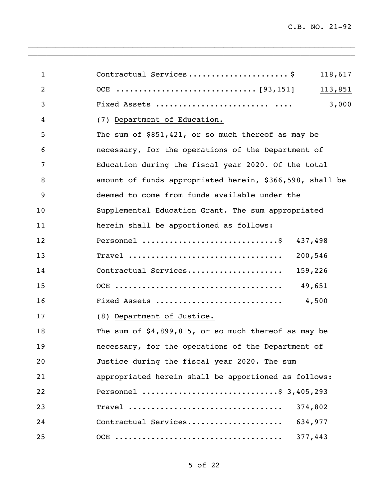| Contractual Services\$<br>$\mathbf{1}$<br>$\overline{2}$<br>3<br>4<br>(7) Department of Education.<br>5<br>The sum of $$851,421$ , or so much thereof as may be<br>necessary, for the operations of the Department of<br>6<br>7<br>Education during the fiscal year 2020. Of the total<br>8<br>amount of funds appropriated herein, \$366,598, shall be<br>9<br>deemed to come from funds available under the<br>10<br>Supplemental Education Grant. The sum appropriated<br>herein shall be apportioned as follows:<br>11<br>Personnel \$<br>12<br>13<br>14<br>Contractual Services<br>15<br>16<br>Fixed Assets<br>17<br>(8) Department of Justice.<br>18<br>The sum of $$4,899,815$ , or so much thereof as may be | 118,617<br>113,851<br>3,000 |
|----------------------------------------------------------------------------------------------------------------------------------------------------------------------------------------------------------------------------------------------------------------------------------------------------------------------------------------------------------------------------------------------------------------------------------------------------------------------------------------------------------------------------------------------------------------------------------------------------------------------------------------------------------------------------------------------------------------------|-----------------------------|
|                                                                                                                                                                                                                                                                                                                                                                                                                                                                                                                                                                                                                                                                                                                      |                             |
|                                                                                                                                                                                                                                                                                                                                                                                                                                                                                                                                                                                                                                                                                                                      |                             |
|                                                                                                                                                                                                                                                                                                                                                                                                                                                                                                                                                                                                                                                                                                                      |                             |
|                                                                                                                                                                                                                                                                                                                                                                                                                                                                                                                                                                                                                                                                                                                      |                             |
|                                                                                                                                                                                                                                                                                                                                                                                                                                                                                                                                                                                                                                                                                                                      |                             |
|                                                                                                                                                                                                                                                                                                                                                                                                                                                                                                                                                                                                                                                                                                                      |                             |
|                                                                                                                                                                                                                                                                                                                                                                                                                                                                                                                                                                                                                                                                                                                      |                             |
|                                                                                                                                                                                                                                                                                                                                                                                                                                                                                                                                                                                                                                                                                                                      |                             |
|                                                                                                                                                                                                                                                                                                                                                                                                                                                                                                                                                                                                                                                                                                                      |                             |
|                                                                                                                                                                                                                                                                                                                                                                                                                                                                                                                                                                                                                                                                                                                      |                             |
|                                                                                                                                                                                                                                                                                                                                                                                                                                                                                                                                                                                                                                                                                                                      |                             |
|                                                                                                                                                                                                                                                                                                                                                                                                                                                                                                                                                                                                                                                                                                                      | 437,498                     |
|                                                                                                                                                                                                                                                                                                                                                                                                                                                                                                                                                                                                                                                                                                                      | 200,546                     |
|                                                                                                                                                                                                                                                                                                                                                                                                                                                                                                                                                                                                                                                                                                                      | 159,226                     |
|                                                                                                                                                                                                                                                                                                                                                                                                                                                                                                                                                                                                                                                                                                                      | 49,651                      |
|                                                                                                                                                                                                                                                                                                                                                                                                                                                                                                                                                                                                                                                                                                                      | 4,500                       |
|                                                                                                                                                                                                                                                                                                                                                                                                                                                                                                                                                                                                                                                                                                                      |                             |
|                                                                                                                                                                                                                                                                                                                                                                                                                                                                                                                                                                                                                                                                                                                      |                             |
| necessary, for the operations of the Department of<br>19                                                                                                                                                                                                                                                                                                                                                                                                                                                                                                                                                                                                                                                             |                             |
| 20<br>Justice during the fiscal year 2020. The sum                                                                                                                                                                                                                                                                                                                                                                                                                                                                                                                                                                                                                                                                   |                             |
| appropriated herein shall be apportioned as follows:<br>21                                                                                                                                                                                                                                                                                                                                                                                                                                                                                                                                                                                                                                                           |                             |
| Personnel \$ 3,405,293<br>22                                                                                                                                                                                                                                                                                                                                                                                                                                                                                                                                                                                                                                                                                         |                             |
| Travel<br>23                                                                                                                                                                                                                                                                                                                                                                                                                                                                                                                                                                                                                                                                                                         | 374,802                     |
| Contractual Services<br>24                                                                                                                                                                                                                                                                                                                                                                                                                                                                                                                                                                                                                                                                                           | 634,977                     |
| 25                                                                                                                                                                                                                                                                                                                                                                                                                                                                                                                                                                                                                                                                                                                   | 377,443                     |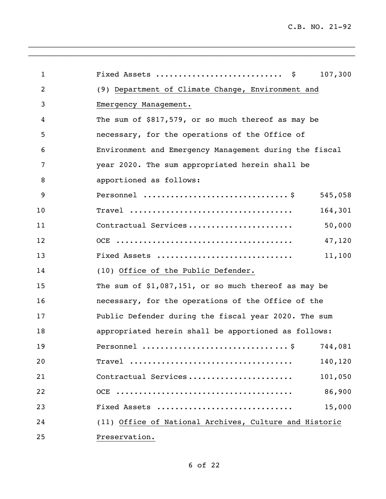| $\mathbf{1}$ | Fixed Assets<br>107,300<br>- \$                        |        |
|--------------|--------------------------------------------------------|--------|
| 2            | (9) Department of Climate Change, Environment and      |        |
| 3            | Emergency Management.                                  |        |
| 4            | The sum of $$817,579$ , or so much thereof as may be   |        |
| 5            | necessary, for the operations of the Office of         |        |
| 6            | Environment and Emergency Management during the fiscal |        |
| 7            | year 2020. The sum appropriated herein shall be        |        |
| 8            | apportioned as follows:                                |        |
| 9            | 545,058                                                |        |
| 10           | 164,301<br>$\texttt{True}$                             |        |
| 11           | Contractual Services                                   | 50,000 |
| 12           |                                                        | 47,120 |
| 13           | Fixed Assets                                           | 11,100 |
| 14           | (10) Office of the Public Defender.                    |        |
| 15           | The sum of $$1,087,151$ , or so much thereof as may be |        |
| 16           | necessary, for the operations of the Office of the     |        |
| 17           | Public Defender during the fiscal year 2020. The sum   |        |
| 18           | appropriated herein shall be apportioned as follows:   |        |
| 19           | Personnel \$ 744,081                                   |        |
| 20           | 140,120                                                |        |
| 21           | Contractual Services<br>101,050                        |        |
| 22           |                                                        | 86,900 |
| 23           | Fixed Assets                                           | 15,000 |
| 24           | (11) Office of National Archives, Culture and Historic |        |
| 25           | Preservation.                                          |        |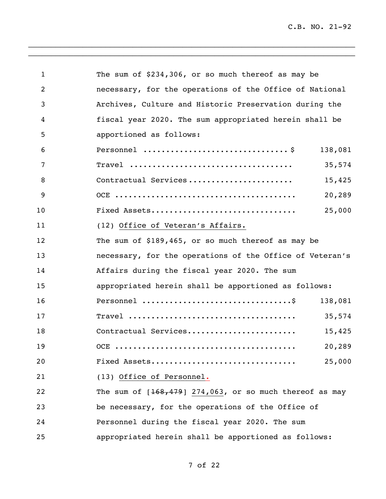C.B. NO. 21-92

| $\mathbf{1}$   | The sum of \$234,306, or so much thereof as may be                             |  |
|----------------|--------------------------------------------------------------------------------|--|
| $\overline{2}$ | necessary, for the operations of the Office of National                        |  |
| 3              | Archives, Culture and Historic Preservation during the                         |  |
| 4              | fiscal year 2020. The sum appropriated herein shall be                         |  |
| 5              | apportioned as follows:                                                        |  |
| 6              | Personnel $\dots\dots\dots\dots\dots\dots\dots\dots\dots\dots$<br>138,081      |  |
| 7              | $\texttt{True}$<br>35,574                                                      |  |
| 8              | Contractual Services<br>15,425                                                 |  |
| 9              | 20,289                                                                         |  |
| 10             | Fixed Assets<br>25,000                                                         |  |
| 11             | (12) Office of Veteran's Affairs.                                              |  |
| 12             | The sum of \$189,465, or so much thereof as may be                             |  |
| 13             | necessary, for the operations of the Office of Veteran's                       |  |
| 14             | Affairs during the fiscal year 2020. The sum                                   |  |
| 15             | appropriated herein shall be apportioned as follows:                           |  |
| 16             | Personnel $\dots\dots\dots\dots\dots\dots\dots\dots\dots\dots\dots$<br>138,081 |  |
| 17             | 35,574                                                                         |  |
| 18             | Contractual Services<br>15,425                                                 |  |
| 19             | 20,289                                                                         |  |
| 20             | Fixed Assets<br>25,000                                                         |  |
| 21             | (13) Office of Personnel.                                                      |  |
| 22             | The sum of $[168, 479]$ 274,063, or so much thereof as may                     |  |
| 23             | be necessary, for the operations of the Office of                              |  |
| 24             | Personnel during the fiscal year 2020. The sum                                 |  |
| 25             | appropriated herein shall be apportioned as follows:                           |  |

 $\mathcal{L}_\text{G}$  , and the contribution of the contribution of the contribution of the contribution of the contribution of the contribution of the contribution of the contribution of the contribution of the contribution of t  $\mathcal{L}_\text{G}$  , and the contribution of the contribution of the contribution of the contribution of the contribution of the contribution of the contribution of the contribution of the contribution of the contribution of t

of 22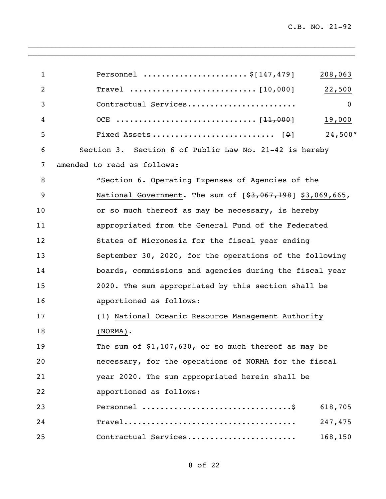| $\mathbf{1}$   | Personnel $$[147, 479]$<br>208,063                         |
|----------------|------------------------------------------------------------|
| $\overline{2}$ | 22,500                                                     |
| 3              | Contractual Services<br>$\mathbf{0}$                       |
| 4              | 19,000                                                     |
| 5              | 24,500"                                                    |
| 6              | Section 3. Section 6 of Public Law No. 21-42 is hereby     |
| 7              | amended to read as follows:                                |
| 8              | "Section 6. Operating Expenses of Agencies of the          |
| 9              | National Government. The sum of [\$3,067,198] \$3,069,665, |
| 10             | or so much thereof as may be necessary, is hereby          |
| 11             | appropriated from the General Fund of the Federated        |
| 12             | States of Micronesia for the fiscal year ending            |
| 13             | September 30, 2020, for the operations of the following    |
| 14             | boards, commissions and agencies during the fiscal year    |
| 15             | 2020. The sum appropriated by this section shall be        |
| 16             | apportioned as follows:                                    |
| 17             | (1) National Oceanic Resource Management Authority         |
| 18             | $(NORMAL)$ .                                               |
| 19             | The sum of $$1,107,630$ , or so much thereof as may be     |
| 20             | necessary, for the operations of NORMA for the fiscal      |
| 21             | year 2020. The sum appropriated herein shall be            |
| 22             | apportioned as follows:                                    |
| 23             | 618,705                                                    |
| 24             | 247,475                                                    |
| 25             | Contractual Services<br>168,150                            |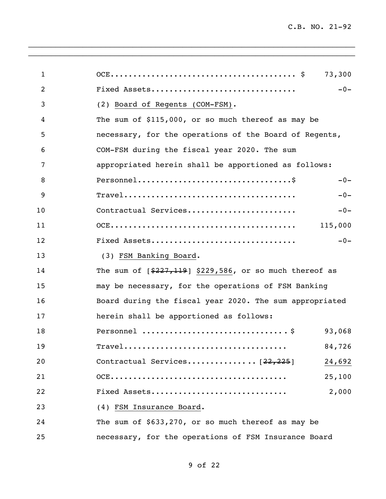| $\mathbf{1}$   |                                                                     | 73,300  |
|----------------|---------------------------------------------------------------------|---------|
| $\overline{2}$ | Fixed Assets                                                        | $-0-$   |
| 3              | (2) Board of Regents (COM-FSM).                                     |         |
| 4              | The sum of \$115,000, or so much thereof as may be                  |         |
| 5              | necessary, for the operations of the Board of Regents,              |         |
| 6              | COM-FSM during the fiscal year 2020. The sum                        |         |
| 7              | appropriated herein shall be apportioned as follows:                |         |
| 8              |                                                                     | $-0-$   |
| 9              |                                                                     | $-0-$   |
| 10             | Contractual Services                                                | $-0-$   |
| 11             |                                                                     | 115,000 |
| 12             | Fixed Assets                                                        | $-0-$   |
| 13             | (3) FSM Banking Board.                                              |         |
| 14             | The sum of $[$227,119]$ \$229,586, or so much thereof as            |         |
| 15             | may be necessary, for the operations of FSM Banking                 |         |
| 16             | Board during the fiscal year 2020. The sum appropriated             |         |
| 17             | herein shall be apportioned as follows:                             |         |
| 18             |                                                                     | 93,068  |
| 19             | $\texttt{Travel}\dots\dots\dots\dots\dots\dots\dots\dots\dots\dots$ | 84,726  |
| 20             |                                                                     | 24,692  |
| 21             |                                                                     | 25,100  |
| 22             | Fixed Assets                                                        | 2,000   |
| 23             | (4) FSM Insurance Board.                                            |         |
| 24             | The sum of \$633,270, or so much thereof as may be                  |         |
| 25             | necessary, for the operations of FSM Insurance Board                |         |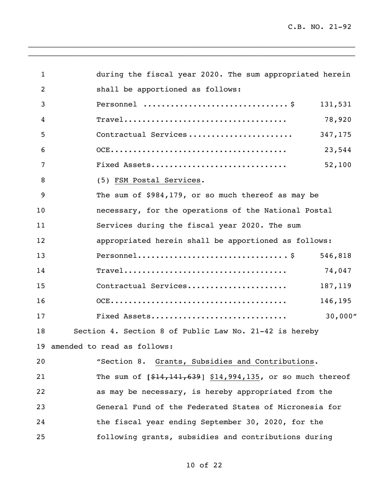| $\mathbf{1}$   | during the fiscal year 2020. The sum appropriated herein                                     |  |
|----------------|----------------------------------------------------------------------------------------------|--|
| $\overline{2}$ | shall be apportioned as follows:                                                             |  |
| 3              | 131,531                                                                                      |  |
| 4              | 78,920<br>$\texttt{Travel}\dots\dots\dots\dots\dots\dots\dots\dots\dots\dots\dots\dots\dots$ |  |
| 5              | Contractual Services<br>347,175                                                              |  |
| 6              | 23,544                                                                                       |  |
| 7              | 52,100<br>Fixed Assets                                                                       |  |
| 8              | (5) FSM Postal Services.                                                                     |  |
| 9              | The sum of \$984,179, or so much thereof as may be                                           |  |
| 10             | necessary, for the operations of the National Postal                                         |  |
| 11             | Services during the fiscal year 2020. The sum                                                |  |
| 12             | appropriated herein shall be apportioned as follows:                                         |  |
| 13             | $Personnel \ldots \ldots \ldots \ldots \ldots \ldots \ldots \ldots \ldots \$<br>546,818      |  |
| 14             | 74,047                                                                                       |  |
| 15             | Contractual Services<br>187,119                                                              |  |
| 16             | 146,195                                                                                      |  |
| 17             | Fixed Assets<br>30,000"                                                                      |  |
| 18             | Section 4. Section 8 of Public Law No. 21-42 is hereby                                       |  |
|                | 19 amended to read as follows:                                                               |  |
| 20             | "Section 8. Grants, Subsidies and Contributions.                                             |  |
| 21             | The sum of $[$14,141,639]$ \$14,994,135, or so much thereof                                  |  |
| 22             | as may be necessary, is hereby appropriated from the                                         |  |
| 23             | General Fund of the Federated States of Micronesia for                                       |  |
| 24             | the fiscal year ending September 30, 2020, for the                                           |  |
| 25             | following grants, subsidies and contributions during                                         |  |
|                |                                                                                              |  |

of 22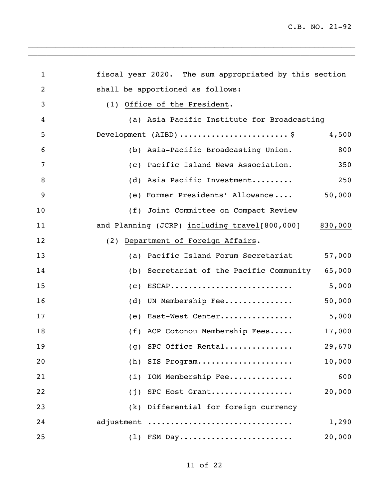| $\mathbf{1}$   | fiscal year 2020. The sum appropriated by this section   |
|----------------|----------------------------------------------------------|
| $\overline{c}$ | shall be apportioned as follows:                         |
| 3              | (1) Office of the President.                             |
| 4              | (a) Asia Pacific Institute for Broadcasting              |
| 5              | Development $(AIBD)$ \$<br>4,500                         |
| 6              | (b) Asia-Pacific Broadcasting Union.<br>800              |
| 7              | (c) Pacific Island News Association.<br>350              |
| 8              | (d) Asia Pacific Investment<br>250                       |
| 9              | 50,000<br>(e) Former Presidents' Allowance               |
| 10             | (f) Joint Committee on Compact Review                    |
| 11             | and Planning (JCRP) including travel[800,000]<br>830,000 |
| 12             | (2) Department of Foreign Affairs.                       |
| 13             | (a) Pacific Island Forum Secretariat<br>57,000           |
| 14             | (b) Secretariat of the Pacific Community<br>65,000       |
| 15             | $(c)$ ESCAP<br>5,000                                     |
| 16             | (d) UN Membership Fee<br>50,000                          |
| 17             | 5,000<br>(e) East-West Center                            |
| 18             | (f) ACP Cotonou Membership Fees<br>17,000                |
| 19             | (g) SPC Office Rental<br>29,670                          |
| 20             | 10,000<br>(h)<br>SIS Program                             |
| 21             | IOM Membership Fee<br>600<br>(i)                         |
| 22             | 20,000<br>SPC Host Grant<br>(j)                          |
| 23             | (k)<br>Differential for foreign currency                 |
| 24             | adjustment<br>1,290                                      |
| 25             | 20,000<br>$(1)$ FSM Day                                  |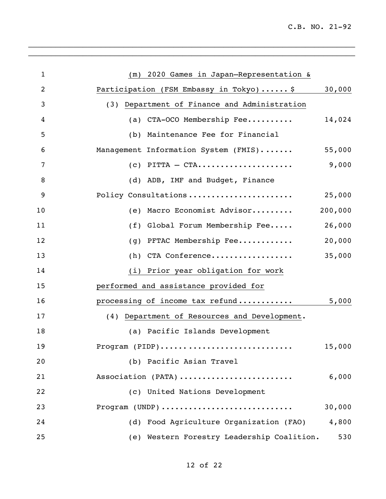C.B. NO. 21-92

| $\mathbf{1}$   | 2020 Games in Japan-Representation &<br>(m)     |         |
|----------------|-------------------------------------------------|---------|
| $\overline{2}$ | Participation (FSM Embassy in Tokyo)  \$        | 30,000  |
| 3              | Department of Finance and Administration<br>(3) |         |
| 4              | (a) CTA-OCO Membership Fee                      | 14,024  |
| 5              | (b) Maintenance Fee for Financial               |         |
| 6              | Management Information System (FMIS)            | 55,000  |
| 7              | $(c)$ PITTA - CTA                               | 9,000   |
| 8              | (d) ADB, IMF and Budget, Finance                |         |
| 9              | Policy Consultations                            | 25,000  |
| 10             | (e) Macro Economist Advisor                     | 200,000 |
| 11             | (f) Global Forum Membership Fee                 | 26,000  |
| 12             | PFTAC Membership Fee<br>(g)                     | 20,000  |
| 13             | (h) CTA Conference                              | 35,000  |
| 14             | (i) Prior year obligation for work              |         |
| 15             | performed and assistance provided for           |         |
| 16             | processing of income tax refund                 | 5,000   |
| 17             | (4) Department of Resources and Development.    |         |
| 18             | (a) Pacific Islands Development                 |         |
| 19             | Program (PIDP)                                  | 15,000  |
| 20             | (b) Pacific Asian Travel                        |         |
| 21             | Association (PATA)                              | 6,000   |
| 22             | (c) United Nations Development                  |         |
| 23             | Program (UNDP)                                  | 30,000  |
| 24             | (d) Food Agriculture Organization (FAO)         | 4,800   |
| 25             | (e) Western Forestry Leadership Coalition.      | 530     |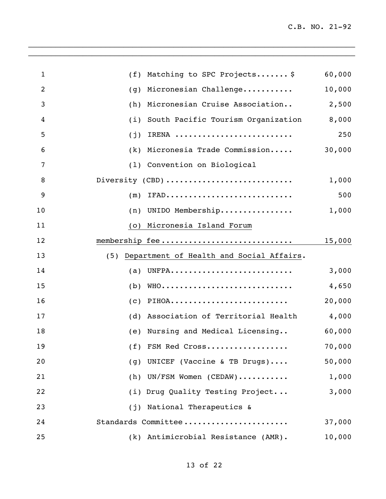| $\mathbf{1}$   | Matching to SPC Projects \$<br>(f)                                            | 60,000 |
|----------------|-------------------------------------------------------------------------------|--------|
| $\overline{2}$ | Micronesian Challenge<br>(g)                                                  | 10,000 |
| 3              | Micronesian Cruise Association<br>(h)                                         | 2,500  |
| 4              | South Pacific Tourism Organization<br>(i)                                     | 8,000  |
| 5              | IRENA<br>(j)                                                                  | 250    |
| 6              | Micronesia Trade Commission<br>(k)                                            | 30,000 |
| $\overline{7}$ | (1) Convention on Biological                                                  |        |
| 8              | Diversity (CBD)                                                               | 1,000  |
| 9              | $\texttt{IFAD}\dots\dots\dots\dots\dots\dots\dots\dots\dots\dots\dots$<br>(m) | 500    |
| 10             | (n) UNIDO Membership                                                          | 1,000  |
| 11             | (o) Micronesia Island Forum                                                   |        |
| 12             |                                                                               | 15,000 |
| 13             | Department of Health and Social Affairs.<br>(5)                               |        |
| 14             | (a) UNFPA                                                                     | 3,000  |
| 15             | $(b)$ WHO                                                                     | 4,650  |
| 16             |                                                                               | 20,000 |
| 17             | (d) Association of Territorial Health                                         | 4,000  |
| 18             | (e) Nursing and Medical Licensing                                             | 60,000 |
| 19             | (f) FSM Red Cross                                                             | 70,000 |
| 20             | (g) UNICEF (Vaccine & TB Drugs)                                               | 50,000 |
| 21             | (h) UN/FSM Women (CEDAW)                                                      | 1,000  |
| 22             | (i) Drug Quality Testing Project                                              | 3,000  |
| 23             | (j) National Therapeutics &                                                   |        |
| 24             | Standards Committee                                                           | 37,000 |
| 25             | (k) Antimicrobial Resistance (AMR).                                           | 10,000 |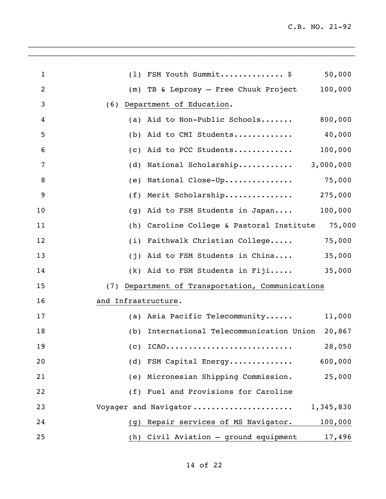| $\mathbf{1}$   | (1) FSM Youth Summit \$<br>50,000                   |
|----------------|-----------------------------------------------------|
| $\overline{2}$ | 100,000<br>(m) TB & Leprosy - Free Chuuk Project    |
| 3              | Department of Education.<br>(6)                     |
| 4              | (a) Aid to Non-Public Schools<br>800,000            |
| 5              | 40,000<br>(b) Aid to CMI Students                   |
| 6              | 100,000<br>(c) Aid to PCC Students                  |
| 7              | (d) National Scholarship<br>3,000,000               |
| 8              | (e) National Close-Up<br>75,000                     |
| 9              | (f) Merit Scholarship<br>275,000                    |
| 10             | 100,000<br>Aid to FSM Students in Japan<br>(g)      |
| 11             | (h) Caroline College & Pastoral Institute<br>75,000 |
| 12             | 75,000<br>(i) Faithwalk Christian College           |
| 13             | (j) Aid to FSM Students in China<br>35,000          |
| 14             | 35,000<br>(k) Aid to FSM Students in Fiji           |
| 15             | Department of Transportation, Communications<br>(7) |
| 16             | and Infrastructure.                                 |
| 17             | (a) Asia Pacific Telecommunity<br>11,000            |
| 18             | (b) International Telecommunication Union<br>20,867 |
| 19             | 28,050<br>$(C)$ ICAO                                |
| 20             | 600,000<br>(d) FSM Capital Energy                   |
| 21             | (e) Micronesian Shipping Commission.<br>25,000      |
| 22             | (f) Fuel and Provisions for Caroline                |
| 23             | Voyager and Navigator<br>1,345,830                  |
| 24             | (g) Repair services of MS Navigator.<br>100,000     |
| 25             | (h) Civil Aviation - ground equipment<br>17,496     |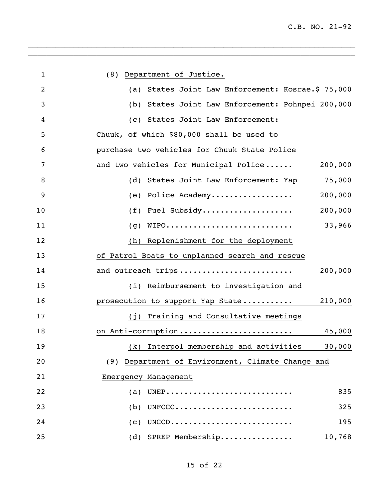| $\mathbf{1}$   | (8) Department of Justice.                                                   |
|----------------|------------------------------------------------------------------------------|
| $\overline{2}$ | States Joint Law Enforcement: Kosrae.\$ 75,000<br>(a)                        |
| 3              | (b) States Joint Law Enforcement: Pohnpei 200,000                            |
| 4              | (c) States Joint Law Enforcement:                                            |
| 5              | Chuuk, of which \$80,000 shall be used to                                    |
| 6              | purchase two vehicles for Chuuk State Police                                 |
| 7              | and two vehicles for Municipal Police<br>200,000                             |
| 8              | (d) States Joint Law Enforcement: Yap<br>75,000                              |
| 9              | (e) Police Academy<br>200,000                                                |
| 10             | (f) Fuel Subsidy<br>200,000                                                  |
| 11             | WIPO<br>33,966<br>(g)                                                        |
| 12             | (h) Replenishment for the deployment                                         |
| 13             | of Patrol Boats to unplanned search and rescue                               |
| 14             | and outreach trips<br>200,000                                                |
| 15             | (i) Reimbursement to investigation and                                       |
| 16             | prosecution to support Yap State<br>210,000                                  |
| 17             | (j) Training and Consultative meetings                                       |
| 18             | on Anti-corruption<br>45,000                                                 |
| 19             | (k) Interpol membership and activities<br>30,000                             |
| 20             | Department of Environment, Climate Change and<br>(9)                         |
| 21             | Emergency Management                                                         |
| 22             | $(a)$ UNEP<br>835                                                            |
| 23             | $UNFCCC \dots \dots \dots \dots \dots \dots \dots \dots \dots$<br>325<br>(b) |
| 24             | $UNCCD$<br>195<br>(c)                                                        |
| 25             | (d) SPREP Membership<br>10,768                                               |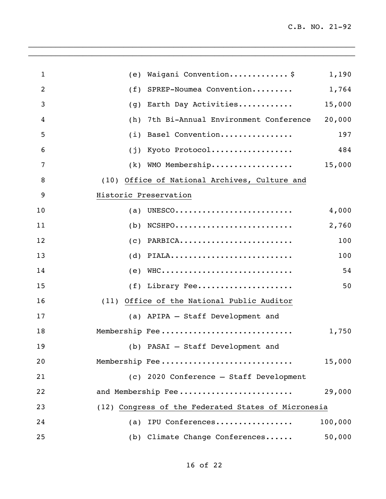| $\mathbf{1}$ | Waigani Convention\$<br>1,190<br>(e)                                                       |
|--------------|--------------------------------------------------------------------------------------------|
| 2            | SPREP-Noumea Convention<br>1,764<br>(f)                                                    |
| 3            | Earth Day Activities<br>15,000<br>(g)                                                      |
| 4            | 7th Bi-Annual Environment Conference<br>20,000<br>(h)                                      |
| 5            | Basel Convention<br>197<br>(i)                                                             |
| 6            | Kyoto Protocol<br>484<br>(i)                                                               |
| 7            | WMO Membership<br>15,000<br>(k)                                                            |
| 8            | Office of National Archives, Culture and<br>(10)                                           |
| 9            | Historic Preservation                                                                      |
| 10           | UNESCO $\ldots\ldots\ldots\ldots\ldots\ldots\ldots\ldots\ldots$<br>4,000<br>(a)            |
| 11           | $NCSHP0 \ldots \ldots \ldots \ldots \ldots \ldots \ldots$<br>2,760<br>(b)                  |
| 12           | PARBICA<br>100<br>(C)                                                                      |
| 13           | $\texttt{PIALA} \dots \dots \dots \dots \dots \dots \dots \dots \dots \dots$<br>100<br>(d) |
| 14           | $WHC \dots \dots \dots \dots \dots \dots \dots \dots \dots \dots \dots$<br>54<br>(e)       |
| 15           | $(f)$ Library Fee<br>50                                                                    |
| 16           | (11) Office of the National Public Auditor                                                 |
| 17           | (a) APIPA - Staff Development and                                                          |
| 18           | Membership Fee<br>1,750                                                                    |
| 19           | (b) PASAI - Staff Development and                                                          |
| 20           | Membership Fee<br>15,000                                                                   |
| 21           | (c) 2020 Conference - Staff Development                                                    |
| 22           | and Membership Fee<br>29,000                                                               |
| 23           | (12) Congress of the Federated States of Micronesia                                        |
| 24           | 100,000<br>IPU Conferences<br>(a)                                                          |
| 25           | (b) Climate Change Conferences<br>50,000                                                   |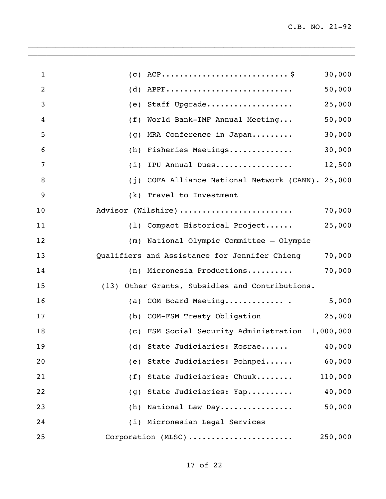| $\mathbf{1}$ | 30,000                                                  |
|--------------|---------------------------------------------------------|
| 2            | APPF<br>50,000<br>(d)                                   |
| 3            | Staff Upgrade<br>25,000<br>(e)                          |
| 4            | 50,000<br>World Bank-IMF Annual Meeting<br>(f)          |
| 5            | 30,000<br>MRA Conference in Japan<br>(g)                |
| 6            | 30,000<br>Fisheries Meetings<br>(h)                     |
| 7            | IPU Annual Dues<br>12,500<br>(i)                        |
| 8            | COFA Alliance National Network (CANN). 25,000<br>(j)    |
| 9            | Travel to Investment<br>(k)                             |
| 10           | Advisor (Wilshire)<br>70,000                            |
| 11           | 25,000<br>(1) Compact Historical Project                |
| 12           | National Olympic Committee - Olympic<br>(m)             |
| 13           | Qualifiers and Assistance for Jennifer Chieng<br>70,000 |
| 14           | (n) Micronesia Productions<br>70,000                    |
| 15           | Other Grants, Subsidies and Contributions.<br>(13)      |
| 16           | COM Board Meeting<br>5,000<br>(a)                       |
| 17           | 25,000<br>COM-FSM Treaty Obligation<br>(b)              |
| 18           | (c) FSM Social Security Administration 1,000,000        |
| 19           | (d) State Judiciaries: Kosrae 40,000                    |
| 20           | (e) State Judiciaries: Pohnpei<br>60,000                |
| 21           | (f) State Judiciaries: Chuuk<br>110,000                 |
| 22           | (g) State Judiciaries: Yap<br>40,000                    |
| 23           | 50,000<br>(h) National Law Day                          |
| 24           | (i) Micronesian Legal Services                          |
| 25           | Corporation (MLSC)<br>250,000                           |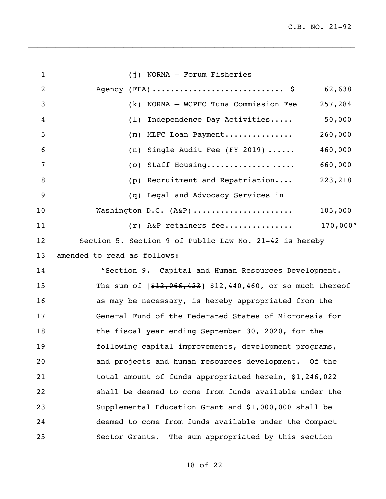C.B. NO. 21-92

| $\mathbf{1}$   | (j) NORMA - Forum Fisheries                                 |  |
|----------------|-------------------------------------------------------------|--|
| $\overline{2}$ | 62,638                                                      |  |
| 3              | NORMA - WCPFC Tuna Commission Fee<br>257,284<br>(k)         |  |
| 4              | 50,000<br>Independence Day Activities<br>(1)                |  |
| 5              | 260,000<br>MLFC Loan Payment<br>(m)                         |  |
| 6              | 460,000<br>(n) Single Audit Fee (FY 2019) $\cdots$          |  |
| 7              | (o) Staff Housing<br>660,000                                |  |
| 8              | 223,218<br>(p) Recruitment and Repatriation                 |  |
| 9              | (q) Legal and Advocacy Services in                          |  |
| 10             | Washington D.C. (A&P)<br>105,000                            |  |
| 11             | $(r)$ A&P retainers fee<br>$170,000$ "                      |  |
| 12             | Section 5. Section 9 of Public Law No. 21-42 is hereby      |  |
| 13             | amended to read as follows:                                 |  |
| 14             | "Section 9. Capital and Human Resources Development.        |  |
| 15             | The sum of $[$12,066,423]$ \$12,440,460, or so much thereof |  |
| 16             | as may be necessary, is hereby appropriated from the        |  |
| 17             | General Fund of the Federated States of Micronesia for      |  |
| 18             | the fiscal year ending September 30, 2020, for the          |  |
| 19             | following capital improvements, development programs,       |  |
| 20             | and projects and human resources development. Of the        |  |
| 21             | total amount of funds appropriated herein, \$1,246,022      |  |
| 22             | shall be deemed to come from funds available under the      |  |
| 23             | Supplemental Education Grant and \$1,000,000 shall be       |  |
| 24             | deemed to come from funds available under the Compact       |  |
| 25             | The sum appropriated by this section<br>Sector Grants.      |  |
|                |                                                             |  |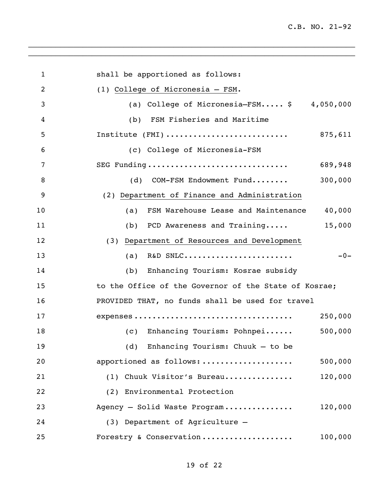| $\mathbf 1$ | shall be apportioned as follows:                      |
|-------------|-------------------------------------------------------|
| 2           | (1) College of Micronesia - FSM.                      |
| 3           | (a) College of Micronesia-FSM $$ 4,050,000$           |
| 4           | FSM Fisheries and Maritime<br>(b)                     |
| 5           |                                                       |
| 6           | (c) College of Micronesia-FSM                         |
| 7           | SEG Funding<br>689,948                                |
| 8           | 300,000<br>(d) COM-FSM Endowment Fund                 |
| 9           | (2) Department of Finance and Administration          |
| 10          | 40,000<br>FSM Warehouse Lease and Maintenance<br>(a)  |
| 11          | 15,000<br>(b) PCD Awareness and Training              |
| 12          | (3) Department of Resources and Development           |
| 13          | R&D SNLC<br>$-0-$<br>(a)                              |
| 14          | (b) Enhancing Tourism: Kosrae subsidy                 |
| 15          | to the Office of the Governor of the State of Kosrae; |
| 16          | PROVIDED THAT, no funds shall be used for travel      |
| 17          | 250,000                                               |
| 18          | 500,000<br>(c) Enhancing Tourism: Pohnpei             |
| 19          | (d) Enhancing Tourism: Chuuk - to be                  |
| 20          | 500,000<br>apportioned as follows:                    |
| 21          | 120,000<br>(1) Chuuk Visitor's Bureau                 |
| 22          | (2) Environmental Protection                          |
| 23          | 120,000<br>Agency - Solid Waste Program               |
| 24          | (3) Department of Agriculture -                       |
| 25          | Forestry & Conservation<br>100,000                    |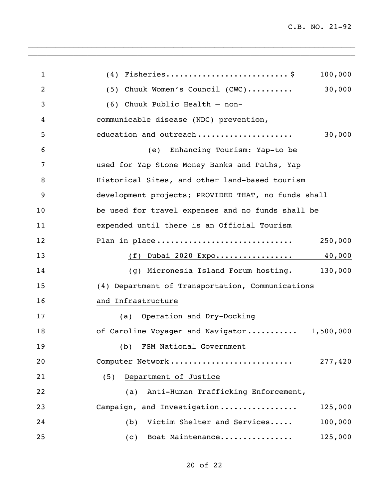| $\mathbf 1$    | 100,000                                             |
|----------------|-----------------------------------------------------|
| $\overline{2}$ | 30,000<br>$(5)$ Chuuk Women's Council $(CWC)$       |
| 3              | (6) Chuuk Public Health - non-                      |
| 4              | communicable disease (NDC) prevention,              |
| 5              | education and outreach<br>30,000                    |
| 6              | Enhancing Tourism: Yap-to be<br>(e)                 |
| 7              | used for Yap Stone Money Banks and Paths, Yap       |
| 8              | Historical Sites, and other land-based tourism      |
| 9              | development projects; PROVIDED THAT, no funds shall |
| 10             | be used for travel expenses and no funds shall be   |
| 11             | expended until there is an Official Tourism         |
| 12             | Plan in place<br>250,000                            |
| 13             | (f) Dubai 2020 Expo 40,000                          |
| 14             | (g) Micronesia Island Forum hosting. 130,000        |
| 15             | (4) Department of Transportation, Communications    |
| 16             | and Infrastructure                                  |
| 17             | Operation and Dry-Docking<br>(a)                    |
| 18             | of Caroline Voyager and Navigator 1,500,000         |
| 19             | (b) FSM National Government                         |
| 20             | Computer Network<br>277,420                         |
| 21             | Department of Justice<br>(5)                        |
| 22             | Anti-Human Trafficking Enforcement,<br>(a)          |
| 23             | Campaign, and Investigation<br>125,000              |
| 24             | Victim Shelter and Services<br>100,000<br>(b)       |
| 25             | 125,000<br>Boat Maintenance<br>(c)                  |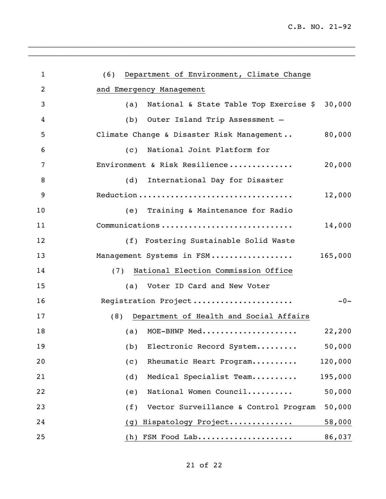| $\mathbf{1}$ | Department of Environment, Climate Change<br>(6)        |  |
|--------------|---------------------------------------------------------|--|
| 2            | and Emergency Management                                |  |
| 3            | 30,000<br>National & State Table Top Exercise \$<br>(a) |  |
| 4            | (b) Outer Island Trip Assessment -                      |  |
| 5            | Climate Change & Disaster Risk Management<br>80,000     |  |
| 6            | National Joint Platform for<br>(C)                      |  |
| 7            | Environment & Risk Resilience<br>20,000                 |  |
| 8            | (d)<br>International Day for Disaster                   |  |
| 9            | Reduction<br>12,000                                     |  |
| 10           | (e) Training & Maintenance for Radio                    |  |
| 11           | Communications<br>14,000                                |  |
| 12           | (f) Fostering Sustainable Solid Waste                   |  |
| 13           | 165,000<br>Management Systems in FSM                    |  |
| 14           | National Election Commission Office<br>(7)              |  |
| 15           | (a) Voter ID Card and New Voter                         |  |
| 16           | Registration Project<br>$-0-$                           |  |
| 17           | Department of Health and Social Affairs<br>(8)          |  |
| 18           | MOE-BHWP Med<br>22,200<br>(a)                           |  |
| 19           | 50,000<br>(b) Electronic Record System                  |  |
| 20           | Rheumatic Heart Program<br>120,000<br>(c)               |  |
| 21           | Medical Specialist Team<br>195,000<br>(d)               |  |
| 22           | National Women Council<br>50,000<br>(e)                 |  |
| 23           | Vector Surveillance & Control Program<br>50,000<br>(f)  |  |
| 24           | Hispatology Project<br>58,000<br>(g)                    |  |
| 25           | $(h)$ FSM Food Lab<br>86,037                            |  |